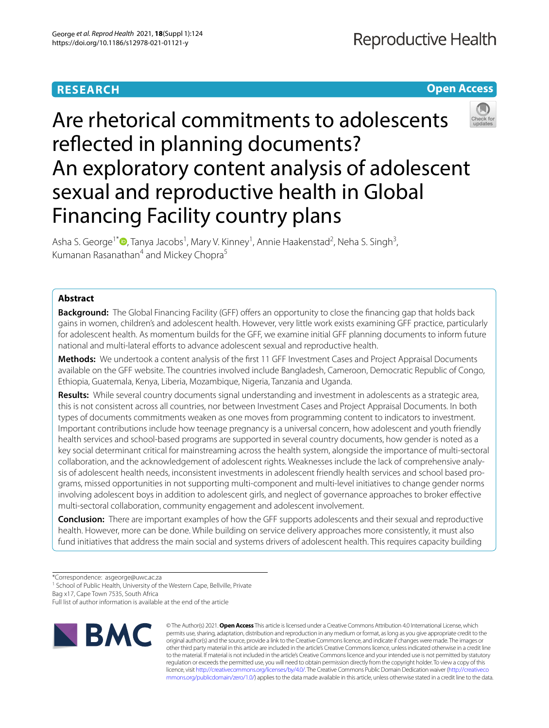## **RESEARCH**



# Are rhetorical commitments to adolescents reflected in planning documents? An exploratory content analysis of adolescent sexual and reproductive health in Global Financing Facility country plans

Asha S. George<sup>1\*</sup> <sup>D</sup>[,](http://orcid.org/0000-0002-5968-1424) Tanya Jacobs<sup>1</sup>, Mary V. Kinney<sup>1</sup>, Annie Haakenstad<sup>2</sup>, Neha S. Singh<sup>3</sup>, Kumanan Rasanathan<sup>4</sup> and Mickey Chopra<sup>5</sup>

## **Abstract**

**Background:** The Global Financing Facility (GFF) offers an opportunity to close the financing gap that holds back gains in women, children's and adolescent health. However, very little work exists examining GFF practice, particularly for adolescent health. As momentum builds for the GFF, we examine initial GFF planning documents to inform future national and multi-lateral efforts to advance adolescent sexual and reproductive health.

**Methods:** We undertook a content analysis of the frst 11 GFF Investment Cases and Project Appraisal Documents available on the GFF website. The countries involved include Bangladesh, Cameroon, Democratic Republic of Congo, Ethiopia, Guatemala, Kenya, Liberia, Mozambique, Nigeria, Tanzania and Uganda.

**Results:** While several country documents signal understanding and investment in adolescents as a strategic area, this is not consistent across all countries, nor between Investment Cases and Project Appraisal Documents. In both types of documents commitments weaken as one moves from programming content to indicators to investment. Important contributions include how teenage pregnancy is a universal concern, how adolescent and youth friendly health services and school-based programs are supported in several country documents, how gender is noted as a key social determinant critical for mainstreaming across the health system, alongside the importance of multi-sectoral collaboration, and the acknowledgement of adolescent rights. Weaknesses include the lack of comprehensive analysis of adolescent health needs, inconsistent investments in adolescent friendly health services and school based programs, missed opportunities in not supporting multi-component and multi-level initiatives to change gender norms involving adolescent boys in addition to adolescent girls, and neglect of governance approaches to broker efective multi-sectoral collaboration, community engagement and adolescent involvement.

**Conclusion:** There are important examples of how the GFF supports adolescents and their sexual and reproductive health. However, more can be done. While building on service delivery approaches more consistently, it must also fund initiatives that address the main social and systems drivers of adolescent health. This requires capacity building

<sup>1</sup> School of Public Health, University of the Western Cape, Bellville, Private

Bag x17, Cape Town 7535, South Africa

Full list of author information is available at the end of the article



© The Author(s) 2021. **Open Access** This article is licensed under a Creative Commons Attribution 4.0 International License, which permits use, sharing, adaptation, distribution and reproduction in any medium or format, as long as you give appropriate credit to the original author(s) and the source, provide a link to the Creative Commons licence, and indicate if changes were made. The images or other third party material in this article are included in the article's Creative Commons licence, unless indicated otherwise in a credit line to the material. If material is not included in the article's Creative Commons licence and your intended use is not permitted by statutory regulation or exceeds the permitted use, you will need to obtain permission directly from the copyright holder. To view a copy of this licence, visit [http://creativecommons.org/licenses/by/4.0/.](http://creativecommons.org/licenses/by/4.0/) The Creative Commons Public Domain Dedication waiver ([http://creativeco](http://creativecommons.org/publicdomain/zero/1.0/) [mmons.org/publicdomain/zero/1.0/](http://creativecommons.org/publicdomain/zero/1.0/)) applies to the data made available in this article, unless otherwise stated in a credit line to the data.

<sup>\*</sup>Correspondence: asgeorge@uwc.ac.za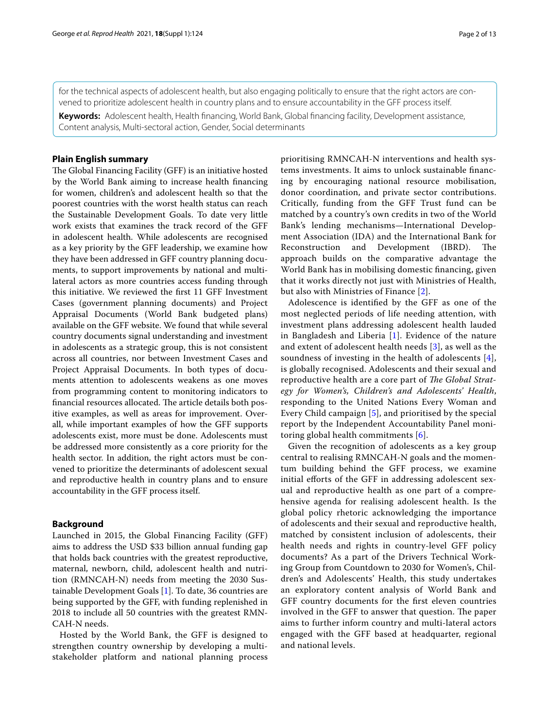for the technical aspects of adolescent health, but also engaging politically to ensure that the right actors are convened to prioritize adolescent health in country plans and to ensure accountability in the GFF process itself.

**Keywords:** Adolescent health, Health fnancing, World Bank, Global fnancing facility, Development assistance, Content analysis, Multi-sectoral action, Gender, Social determinants

## **Plain English summary**

The Global Financing Facility (GFF) is an initiative hosted by the World Bank aiming to increase health fnancing for women, children's and adolescent health so that the poorest countries with the worst health status can reach the Sustainable Development Goals. To date very little work exists that examines the track record of the GFF in adolescent health. While adolescents are recognised as a key priority by the GFF leadership, we examine how they have been addressed in GFF country planning documents, to support improvements by national and multilateral actors as more countries access funding through this initiative. We reviewed the frst 11 GFF Investment Cases (government planning documents) and Project Appraisal Documents (World Bank budgeted plans) available on the GFF website. We found that while several country documents signal understanding and investment in adolescents as a strategic group, this is not consistent across all countries, nor between Investment Cases and Project Appraisal Documents. In both types of documents attention to adolescents weakens as one moves from programming content to monitoring indicators to financial resources allocated. The article details both positive examples, as well as areas for improvement. Overall, while important examples of how the GFF supports adolescents exist, more must be done. Adolescents must be addressed more consistently as a core priority for the health sector. In addition, the right actors must be convened to prioritize the determinants of adolescent sexual and reproductive health in country plans and to ensure accountability in the GFF process itself.

## **Background**

Launched in 2015, the Global Financing Facility (GFF) aims to address the USD \$33 billion annual funding gap that holds back countries with the greatest reproductive, maternal, newborn, child, adolescent health and nutrition (RMNCAH-N) needs from meeting the 2030 Sustainable Development Goals [[1\]](#page-11-0). To date, 36 countries are being supported by the GFF, with funding replenished in 2018 to include all 50 countries with the greatest RMN-CAH-N needs.

Hosted by the World Bank, the GFF is designed to strengthen country ownership by developing a multistakeholder platform and national planning process prioritising RMNCAH-N interventions and health systems investments. It aims to unlock sustainable fnancing by encouraging national resource mobilisation, donor coordination, and private sector contributions. Critically, funding from the GFF Trust fund can be matched by a country's own credits in two of the World Bank's lending mechanisms—International Development Association (IDA) and the International Bank for Reconstruction and Development (IBRD). The approach builds on the comparative advantage the World Bank has in mobilising domestic fnancing, given that it works directly not just with Ministries of Health, but also with Ministries of Finance [\[2\]](#page-11-1).

Adolescence is identifed by the GFF as one of the most neglected periods of life needing attention, with investment plans addressing adolescent health lauded in Bangladesh and Liberia [[1\]](#page-11-0). Evidence of the nature and extent of adolescent health needs [[3\]](#page-11-2), as well as the soundness of investing in the health of adolescents [[4](#page-11-3)], is globally recognised. Adolescents and their sexual and reproductive health are a core part of *The Global Strategy for Women's, Children's and Adolescents' Health*, responding to the United Nations Every Woman and Every Child campaign [\[5](#page-11-4)], and prioritised by the special report by the Independent Accountability Panel monitoring global health commitments [[6](#page-11-5)].

Given the recognition of adolescents as a key group central to realising RMNCAH-N goals and the momentum building behind the GFF process, we examine initial efforts of the GFF in addressing adolescent sexual and reproductive health as one part of a comprehensive agenda for realising adolescent health. Is the global policy rhetoric acknowledging the importance of adolescents and their sexual and reproductive health, matched by consistent inclusion of adolescents, their health needs and rights in country-level GFF policy documents? As a part of the Drivers Technical Working Group from Countdown to 2030 for Women's, Children's and Adolescents' Health, this study undertakes an exploratory content analysis of World Bank and GFF country documents for the frst eleven countries involved in the GFF to answer that question. The paper aims to further inform country and multi-lateral actors engaged with the GFF based at headquarter, regional and national levels.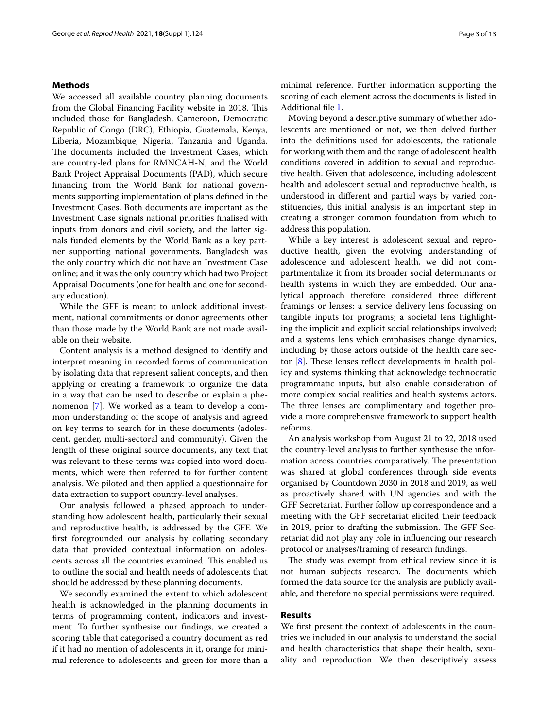## **Methods**

We accessed all available country planning documents from the Global Financing Facility website in 2018. This included those for Bangladesh, Cameroon, Democratic Republic of Congo (DRC), Ethiopia, Guatemala, Kenya, Liberia, Mozambique, Nigeria, Tanzania and Uganda. The documents included the Investment Cases, which are country-led plans for RMNCAH-N, and the World Bank Project Appraisal Documents (PAD), which secure fnancing from the World Bank for national governments supporting implementation of plans defned in the Investment Cases. Both documents are important as the Investment Case signals national priorities fnalised with inputs from donors and civil society, and the latter signals funded elements by the World Bank as a key partner supporting national governments. Bangladesh was the only country which did not have an Investment Case online; and it was the only country which had two Project Appraisal Documents (one for health and one for secondary education).

While the GFF is meant to unlock additional investment, national commitments or donor agreements other than those made by the World Bank are not made available on their website.

Content analysis is a method designed to identify and interpret meaning in recorded forms of communication by isolating data that represent salient concepts, and then applying or creating a framework to organize the data in a way that can be used to describe or explain a phenomenon [[7\]](#page-11-6). We worked as a team to develop a common understanding of the scope of analysis and agreed on key terms to search for in these documents (adolescent, gender, multi-sectoral and community). Given the length of these original source documents, any text that was relevant to these terms was copied into word documents, which were then referred to for further content analysis. We piloted and then applied a questionnaire for data extraction to support country-level analyses.

Our analysis followed a phased approach to understanding how adolescent health, particularly their sexual and reproductive health, is addressed by the GFF. We frst foregrounded our analysis by collating secondary data that provided contextual information on adolescents across all the countries examined. This enabled us to outline the social and health needs of adolescents that should be addressed by these planning documents.

We secondly examined the extent to which adolescent health is acknowledged in the planning documents in terms of programming content, indicators and investment. To further synthesise our fndings, we created a scoring table that categorised a country document as red if it had no mention of adolescents in it, orange for minimal reference to adolescents and green for more than a minimal reference. Further information supporting the scoring of each element across the documents is listed in Additional fle [1](#page-11-7).

Moving beyond a descriptive summary of whether adolescents are mentioned or not, we then delved further into the defnitions used for adolescents, the rationale for working with them and the range of adolescent health conditions covered in addition to sexual and reproductive health. Given that adolescence, including adolescent health and adolescent sexual and reproductive health, is understood in diferent and partial ways by varied constituencies, this initial analysis is an important step in creating a stronger common foundation from which to address this population.

While a key interest is adolescent sexual and reproductive health, given the evolving understanding of adolescence and adolescent health, we did not compartmentalize it from its broader social determinants or health systems in which they are embedded. Our analytical approach therefore considered three diferent framings or lenses: a service delivery lens focussing on tangible inputs for programs; a societal lens highlighting the implicit and explicit social relationships involved; and a systems lens which emphasises change dynamics, including by those actors outside of the health care sector  $[8]$  $[8]$ . These lenses reflect developments in health policy and systems thinking that acknowledge technocratic programmatic inputs, but also enable consideration of more complex social realities and health systems actors. The three lenses are complimentary and together provide a more comprehensive framework to support health reforms.

An analysis workshop from August 21 to 22, 2018 used the country-level analysis to further synthesise the information across countries comparatively. The presentation was shared at global conferences through side events organised by Countdown 2030 in 2018 and 2019, as well as proactively shared with UN agencies and with the GFF Secretariat. Further follow up correspondence and a meeting with the GFF secretariat elicited their feedback in 2019, prior to drafting the submission. The GFF Secretariat did not play any role in infuencing our research protocol or analyses/framing of research fndings.

The study was exempt from ethical review since it is not human subjects research. The documents which formed the data source for the analysis are publicly available, and therefore no special permissions were required.

## **Results**

We frst present the context of adolescents in the countries we included in our analysis to understand the social and health characteristics that shape their health, sexuality and reproduction. We then descriptively assess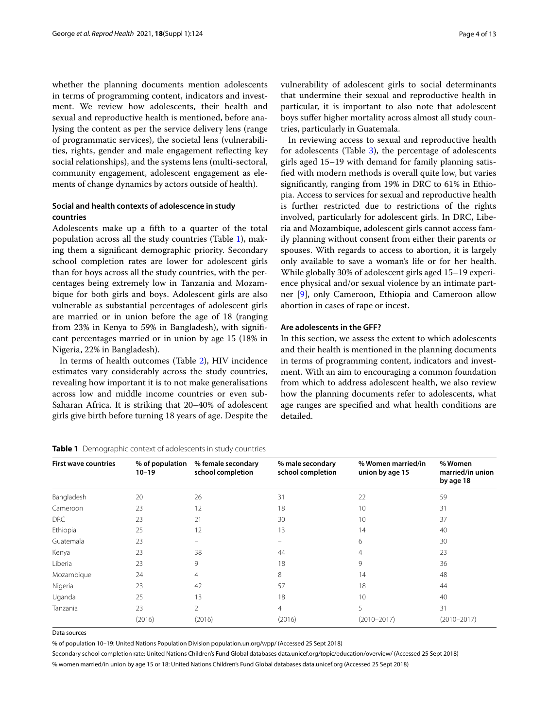whether the planning documents mention adolescents in terms of programming content, indicators and investment. We review how adolescents, their health and sexual and reproductive health is mentioned, before analysing the content as per the service delivery lens (range of programmatic services), the societal lens (vulnerabilities, rights, gender and male engagement refecting key social relationships), and the systems lens (multi-sectoral, community engagement, adolescent engagement as elements of change dynamics by actors outside of health).

## **Social and health contexts of adolescence in study countries**

Adolescents make up a ffth to a quarter of the total population across all the study countries (Table [1](#page-3-0)), making them a signifcant demographic priority. Secondary school completion rates are lower for adolescent girls than for boys across all the study countries, with the percentages being extremely low in Tanzania and Mozambique for both girls and boys. Adolescent girls are also vulnerable as substantial percentages of adolescent girls are married or in union before the age of 18 (ranging from 23% in Kenya to 59% in Bangladesh), with signifcant percentages married or in union by age 15 (18% in Nigeria, 22% in Bangladesh).

In terms of health outcomes (Table [2](#page-4-0)), HIV incidence estimates vary considerably across the study countries, revealing how important it is to not make generalisations across low and middle income countries or even sub-Saharan Africa. It is striking that 20–40% of adolescent girls give birth before turning 18 years of age. Despite the

<span id="page-3-0"></span>**Table 1** Demographic context of adolescents in study countries

Data sources % of population 10–19: United Nations Population Division population.un.org/wpp/ (Accessed 25 Sept 2018)

Secondary school completion rate: United Nations Children's Fund Global databases data.unicef.org/topic/education/overview/ (Accessed 25 Sept 2018) % women married/in union by age 15 or 18: United Nations Children's Fund Global databases data.unicef.org (Accessed 25 Sept 2018)

vulnerability of adolescent girls to social determinants that undermine their sexual and reproductive health in particular, it is important to also note that adolescent boys sufer higher mortality across almost all study countries, particularly in Guatemala.

In reviewing access to sexual and reproductive health for adolescents (Table [3](#page-4-1)), the percentage of adolescents girls aged 15–19 with demand for family planning satisfed with modern methods is overall quite low, but varies signifcantly, ranging from 19% in DRC to 61% in Ethiopia. Access to services for sexual and reproductive health is further restricted due to restrictions of the rights involved, particularly for adolescent girls. In DRC, Liberia and Mozambique, adolescent girls cannot access family planning without consent from either their parents or spouses. With regards to access to abortion, it is largely only available to save a woman's life or for her health. While globally 30% of adolescent girls aged 15–19 experience physical and/or sexual violence by an intimate partner [[9\]](#page-11-9), only Cameroon, Ethiopia and Cameroon allow abortion in cases of rape or incest.

## **Are adolescents in the GFF?**

In this section, we assess the extent to which adolescents and their health is mentioned in the planning documents in terms of programming content, indicators and investment. With an aim to encouraging a common foundation from which to address adolescent health, we also review how the planning documents refer to adolescents, what age ranges are specifed and what health conditions are detailed.

| <b>First wave countries</b> | % of population<br>$10 - 19$ | % female secondary<br>school completion | % male secondary<br>school completion | % Women married/in<br>union by age 15 | % Women<br>married/in union<br>by age 18 |
|-----------------------------|------------------------------|-----------------------------------------|---------------------------------------|---------------------------------------|------------------------------------------|
| Bangladesh                  | 20                           | 26                                      | 31                                    | 22                                    | 59                                       |
| Cameroon                    | 23                           | 12                                      | 18                                    | 10                                    | 31                                       |
| <b>DRC</b>                  | 23                           | 21                                      | 30                                    | 10                                    | 37                                       |
| Ethiopia                    | 25                           | 12                                      | 13                                    | 14                                    | 40                                       |
| Guatemala                   | 23                           |                                         |                                       | 6                                     | 30                                       |
| Kenya                       | 23                           | 38                                      | 44                                    | 4                                     | 23                                       |
| Liberia                     | 23                           | 9                                       | 18                                    | 9                                     | 36                                       |
| Mozambique                  | 24                           | $\overline{4}$                          | 8                                     | 14                                    | 48                                       |
| Nigeria                     | 23                           | 42                                      | 57                                    | 18                                    | 44                                       |
| Uganda                      | 25                           | 13                                      | 18                                    | 10                                    | 40                                       |
| Tanzania                    | 23                           | $\overline{2}$                          | 4                                     | 5                                     | 31                                       |
|                             | (2016)                       | (2016)                                  | (2016)                                | $(2010 - 2017)$                       | $(2010 - 2017)$                          |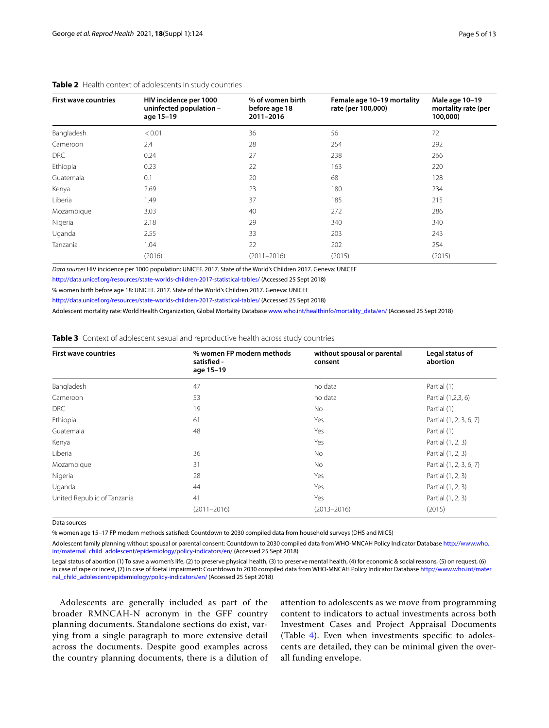| <b>First wave countries</b> | HIV incidence per 1000<br>uninfected population -<br>age 15-19 | % of women birth<br>before age 18<br>2011-2016 | Female age 10-19 mortality<br>rate (per 100,000) | Male age 10-19<br>mortality rate (per<br>100,000) |
|-----------------------------|----------------------------------------------------------------|------------------------------------------------|--------------------------------------------------|---------------------------------------------------|
| Bangladesh                  | < 0.01                                                         | 36                                             | 56                                               | 72                                                |
| Cameroon                    | 2.4                                                            | 28                                             | 254                                              | 292                                               |
| DRC                         | 0.24                                                           | 27                                             | 238                                              | 266                                               |
| Ethiopia                    | 0.23                                                           | 22                                             | 163                                              | 220                                               |
| Guatemala                   | 0.1                                                            | 20                                             | 68                                               | 128                                               |
| Kenya                       | 2.69                                                           | 23                                             | 180                                              | 234                                               |
| Liberia                     | 1.49                                                           | 37                                             | 185                                              | 215                                               |
| Mozambique                  | 3.03                                                           | 40                                             | 272                                              | 286                                               |
| Nigeria                     | 2.18                                                           | 29                                             | 340                                              | 340                                               |
| Uganda                      | 2.55                                                           | 33                                             | 203                                              | 243                                               |
| Tanzania                    | 1.04                                                           | 22                                             | 202                                              | 254                                               |
|                             | (2016)                                                         | $(2011 - 2016)$                                | (2015)                                           | (2015)                                            |
|                             |                                                                |                                                |                                                  |                                                   |

## <span id="page-4-0"></span>**Table 2** Health context of adolescents in study countries

*Data sources* HIV incidence per 1000 population: UNICEF. 2017. State of the World's Children 2017. Geneva: UNICEF

<http://data.unicef.org/resources/state-worlds-children-2017-statistical-tables/> (Accessed 25 Sept 2018)

% women birth before age 18: UNICEF. 2017. State of the World's Children 2017. Geneva: UNICEF

<http://data.unicef.org/resources/state-worlds-children-2017-statistical-tables/> (Accessed 25 Sept 2018)

Adolescent mortality rate: World Health Organization, Global Mortality Database [www.who.int/healthinfo/mortality\\_data/en/](http://www.who.int/healthinfo/mortality_data/en/) (Accessed 25 Sept 2018)

## <span id="page-4-1"></span>**Table 3** Context of adolescent sexual and reproductive health across study countries

| <b>First wave countries</b> | % women FP modern methods<br>satisfied -<br>age 15-19 | without spousal or parental<br>consent | Legal status of<br>abortion |
|-----------------------------|-------------------------------------------------------|----------------------------------------|-----------------------------|
| Bangladesh                  | 47                                                    | no data                                | Partial (1)                 |
| Cameroon                    | 53                                                    | no data                                | Partial (1,2,3, 6)          |
| <b>DRC</b>                  | 19                                                    | No.                                    | Partial (1)                 |
| Ethiopia                    | 61                                                    | Yes                                    | Partial (1, 2, 3, 6, 7)     |
| Guatemala                   | 48                                                    | Yes                                    | Partial (1)                 |
| Kenya                       |                                                       | Yes                                    | Partial (1, 2, 3)           |
| Liberia                     | 36                                                    | <b>No</b>                              | Partial (1, 2, 3)           |
| Mozambique                  | 31                                                    | No.                                    | Partial (1, 2, 3, 6, 7)     |
| Nigeria                     | 28                                                    | Yes                                    | Partial (1, 2, 3)           |
| Uganda                      | 44                                                    | Yes                                    | Partial (1, 2, 3)           |
| United Republic of Tanzania | 41                                                    | Yes                                    | Partial (1, 2, 3)           |
|                             | $(2011 - 2016)$                                       | $(2013 - 2016)$                        | (2015)                      |

Data sources

% women age 15–17 FP modern methods satisfed: Countdown to 2030 compiled data from household surveys (DHS and MICS)

Adolescent family planning without spousal or parental consent: Countdown to 2030 compiled data from WHO-MNCAH Policy Indicator Database [http://www.who.](http://www.who.int/maternal_child_adolescent/epidemiology/policy-indicators/en/) [int/maternal\\_child\\_adolescent/epidemiology/policy-indicators/en/](http://www.who.int/maternal_child_adolescent/epidemiology/policy-indicators/en/) (Accessed 25 Sept 2018)

Legal status of abortion (1) To save a women's life, (2) to preserve physical health, (3) to preserve mental health, (4) for economic & social reasons, (5) on request, (6) in case of rape or incest, (7) in case of foetal impairment: Countdown to 2030 compiled data from WHO-MNCAH Policy Indicator Database [http://www.who.int/mater](http://www.who.int/maternal_child_adolescent/epidemiology/policy-indicators/en/) [nal\\_child\\_adolescent/epidemiology/policy-indicators/en/](http://www.who.int/maternal_child_adolescent/epidemiology/policy-indicators/en/) (Accessed 25 Sept 2018)

Adolescents are generally included as part of the broader RMNCAH-N acronym in the GFF country planning documents. Standalone sections do exist, varying from a single paragraph to more extensive detail across the documents. Despite good examples across the country planning documents, there is a dilution of

attention to adolescents as we move from programming content to indicators to actual investments across both Investment Cases and Project Appraisal Documents (Table [4\)](#page-7-0). Even when investments specifc to adolescents are detailed, they can be minimal given the overall funding envelope.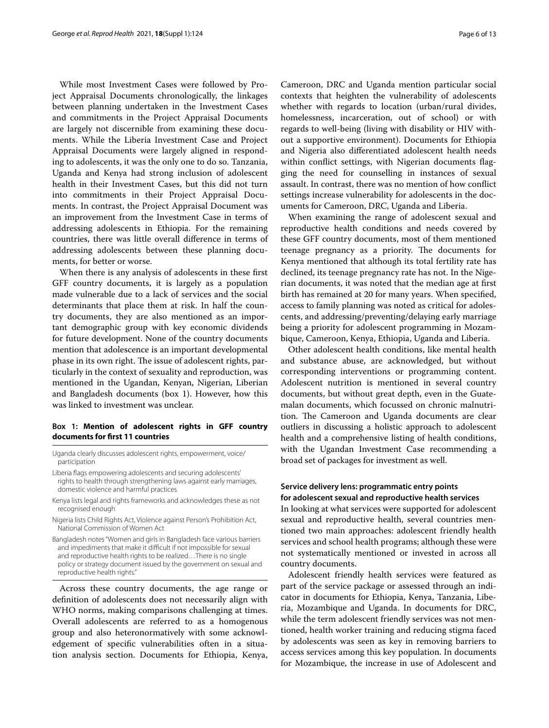While most Investment Cases were followed by Project Appraisal Documents chronologically, the linkages between planning undertaken in the Investment Cases and commitments in the Project Appraisal Documents are largely not discernible from examining these documents. While the Liberia Investment Case and Project Appraisal Documents were largely aligned in responding to adolescents, it was the only one to do so. Tanzania, Uganda and Kenya had strong inclusion of adolescent health in their Investment Cases, but this did not turn into commitments in their Project Appraisal Documents. In contrast, the Project Appraisal Document was an improvement from the Investment Case in terms of addressing adolescents in Ethiopia. For the remaining countries, there was little overall diference in terms of addressing adolescents between these planning documents, for better or worse.

When there is any analysis of adolescents in these frst GFF country documents, it is largely as a population made vulnerable due to a lack of services and the social determinants that place them at risk. In half the country documents, they are also mentioned as an important demographic group with key economic dividends for future development. None of the country documents mention that adolescence is an important developmental phase in its own right. The issue of adolescent rights, particularly in the context of sexuality and reproduction, was mentioned in the Ugandan, Kenyan, Nigerian, Liberian and Bangladesh documents (box 1). However, how this was linked to investment was unclear.

## **Box 1: Mention of adolescent rights in GFF country documents for frst 11 countries**

Uganda clearly discusses adolescent rights, empowerment, voice/ participation

Liberia fags empowering adolescents and securing adolescents' rights to health through strengthening laws against early marriages, domestic violence and harmful practices

- Kenya lists legal and rights frameworks and acknowledges these as not recognised enough
- Nigeria lists Child Rights Act, Violence against Person's Prohibition Act, National Commission of Women Act
- Bangladesh notes "Women and girls in Bangladesh face various barriers and impediments that make it difficult if not impossible for sexual and reproductive health rights to be realized…There is no single policy or strategy document issued by the government on sexual and reproductive health rights."

Across these country documents, the age range or defnition of adolescents does not necessarily align with WHO norms, making comparisons challenging at times. Overall adolescents are referred to as a homogenous group and also heteronormatively with some acknowledgement of specifc vulnerabilities often in a situation analysis section. Documents for Ethiopia, Kenya,

Cameroon, DRC and Uganda mention particular social contexts that heighten the vulnerability of adolescents whether with regards to location (urban/rural divides, homelessness, incarceration, out of school) or with regards to well-being (living with disability or HIV without a supportive environment). Documents for Ethiopia and Nigeria also diferentiated adolescent health needs within confict settings, with Nigerian documents fagging the need for counselling in instances of sexual assault. In contrast, there was no mention of how confict settings increase vulnerability for adolescents in the documents for Cameroon, DRC, Uganda and Liberia.

When examining the range of adolescent sexual and reproductive health conditions and needs covered by these GFF country documents, most of them mentioned teenage pregnancy as a priority. The documents for Kenya mentioned that although its total fertility rate has declined, its teenage pregnancy rate has not. In the Nigerian documents, it was noted that the median age at frst birth has remained at 20 for many years. When specifed, access to family planning was noted as critical for adolescents, and addressing/preventing/delaying early marriage being a priority for adolescent programming in Mozambique, Cameroon, Kenya, Ethiopia, Uganda and Liberia.

Other adolescent health conditions, like mental health and substance abuse, are acknowledged, but without corresponding interventions or programming content. Adolescent nutrition is mentioned in several country documents, but without great depth, even in the Guatemalan documents, which focussed on chronic malnutrition. The Cameroon and Uganda documents are clear outliers in discussing a holistic approach to adolescent health and a comprehensive listing of health conditions, with the Ugandan Investment Case recommending a broad set of packages for investment as well.

## **Service delivery lens: programmatic entry points for adolescent sexual and reproductive health services**

In looking at what services were supported for adolescent sexual and reproductive health, several countries mentioned two main approaches: adolescent friendly health services and school health programs; although these were not systematically mentioned or invested in across all country documents.

Adolescent friendly health services were featured as part of the service package or assessed through an indicator in documents for Ethiopia, Kenya, Tanzania, Liberia, Mozambique and Uganda. In documents for DRC, while the term adolescent friendly services was not mentioned, health worker training and reducing stigma faced by adolescents was seen as key in removing barriers to access services among this key population. In documents for Mozambique, the increase in use of Adolescent and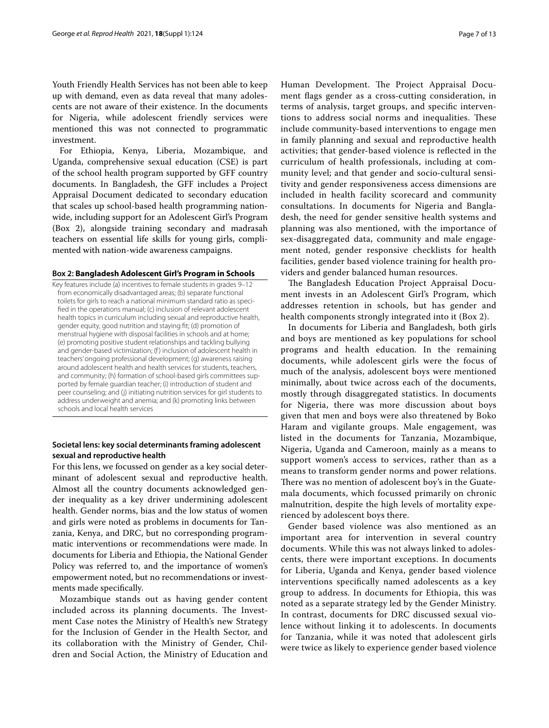Youth Friendly Health Services has not been able to keep up with demand, even as data reveal that many adolescents are not aware of their existence. In the documents for Nigeria, while adolescent friendly services were mentioned this was not connected to programmatic investment.

For Ethiopia, Kenya, Liberia, Mozambique, and Uganda, comprehensive sexual education (CSE) is part of the school health program supported by GFF country documents. In Bangladesh, the GFF includes a Project Appraisal Document dedicated to secondary education that scales up school-based health programming nationwide, including support for an Adolescent Girl's Program (Box 2), alongside training secondary and madrasah teachers on essential life skills for young girls, complimented with nation-wide awareness campaigns.

## **Box 2: Bangladesh Adolescent Girl's Program in Schools**

Key features include (a) incentives to female students in grades 9–12 from economically disadvantaged areas; (b) separate functional toilets for girls to reach a national minimum standard ratio as specifed in the operations manual; (c) inclusion of relevant adolescent health topics in curriculum including sexual and reproductive health, gender equity, good nutrition and staying ft; (d) promotion of menstrual hygiene with disposal facilities in schools and at home; (e) promoting positive student relationships and tackling bullying and gender-based victimization; (f) inclusion of adolescent health in teachers' ongoing professional development; (g) awareness raising around adolescent health and health services for students, teachers, and community; (h) formation of school-based girls committees supported by female guardian teacher; (i) introduction of student and peer counseling; and (j) initiating nutrition services for girl students to address underweight and anemia; and (k) promoting links between schools and local health services

## **Societal lens: key social determinants framing adolescent sexual and reproductive health**

For this lens, we focussed on gender as a key social determinant of adolescent sexual and reproductive health. Almost all the country documents acknowledged gender inequality as a key driver undermining adolescent health. Gender norms, bias and the low status of women and girls were noted as problems in documents for Tanzania, Kenya, and DRC, but no corresponding programmatic interventions or recommendations were made. In documents for Liberia and Ethiopia, the National Gender Policy was referred to, and the importance of women's empowerment noted, but no recommendations or investments made specifically.

Mozambique stands out as having gender content included across its planning documents. The Investment Case notes the Ministry of Health's new Strategy for the Inclusion of Gender in the Health Sector, and its collaboration with the Ministry of Gender, Children and Social Action, the Ministry of Education and Human Development. The Project Appraisal Document fags gender as a cross‐cutting consideration, in terms of analysis, target groups, and specifc interventions to address social norms and inequalities. These include community‐based interventions to engage men in family planning and sexual and reproductive health activities; that gender‐based violence is refected in the curriculum of health professionals, including at community level; and that gender and socio‐cultural sensitivity and gender responsiveness access dimensions are included in health facility scorecard and community consultations. In documents for Nigeria and Bangladesh, the need for gender sensitive health systems and planning was also mentioned, with the importance of sex-disaggregated data, community and male engagement noted, gender responsive checklists for health facilities, gender based violence training for health providers and gender balanced human resources.

The Bangladesh Education Project Appraisal Document invests in an Adolescent Girl's Program, which addresses retention in schools, but has gender and health components strongly integrated into it (Box 2).

In documents for Liberia and Bangladesh, both girls and boys are mentioned as key populations for school programs and health education. In the remaining documents, while adolescent girls were the focus of much of the analysis, adolescent boys were mentioned minimally, about twice across each of the documents, mostly through disaggregated statistics. In documents for Nigeria, there was more discussion about boys given that men and boys were also threatened by Boko Haram and vigilante groups. Male engagement, was listed in the documents for Tanzania, Mozambique, Nigeria, Uganda and Cameroon, mainly as a means to support women's access to services, rather than as a means to transform gender norms and power relations. There was no mention of adolescent boy's in the Guatemala documents, which focussed primarily on chronic malnutrition, despite the high levels of mortality experienced by adolescent boys there.

Gender based violence was also mentioned as an important area for intervention in several country documents. While this was not always linked to adolescents, there were important exceptions. In documents for Liberia, Uganda and Kenya, gender based violence interventions specifcally named adolescents as a key group to address. In documents for Ethiopia, this was noted as a separate strategy led by the Gender Ministry. In contrast, documents for DRC discussed sexual violence without linking it to adolescents. In documents for Tanzania, while it was noted that adolescent girls were twice as likely to experience gender based violence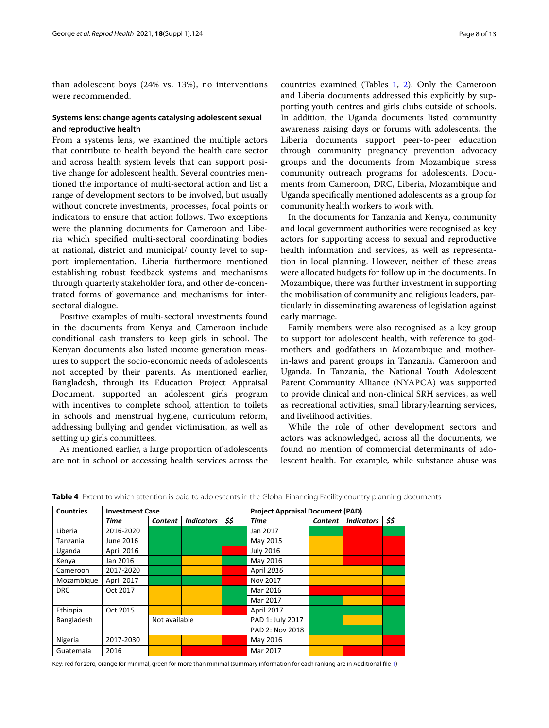than adolescent boys (24% vs. 13%), no interventions were recommended.

## **Systems lens: change agents catalysing adolescent sexual and reproductive health**

From a systems lens, we examined the multiple actors that contribute to health beyond the health care sector and across health system levels that can support positive change for adolescent health. Several countries mentioned the importance of multi-sectoral action and list a range of development sectors to be involved, but usually without concrete investments, processes, focal points or indicators to ensure that action follows. Two exceptions were the planning documents for Cameroon and Liberia which specifed multi-sectoral coordinating bodies at national, district and municipal/ county level to support implementation. Liberia furthermore mentioned establishing robust feedback systems and mechanisms through quarterly stakeholder fora, and other de-concentrated forms of governance and mechanisms for intersectoral dialogue.

Positive examples of multi-sectoral investments found in the documents from Kenya and Cameroon include conditional cash transfers to keep girls in school. The Kenyan documents also listed income generation measures to support the socio-economic needs of adolescents not accepted by their parents. As mentioned earlier, Bangladesh, through its Education Project Appraisal Document, supported an adolescent girls program with incentives to complete school, attention to toilets in schools and menstrual hygiene, curriculum reform, addressing bullying and gender victimisation, as well as setting up girls committees.

As mentioned earlier, a large proportion of adolescents are not in school or accessing health services across the countries examined (Tables [1,](#page-3-0) [2\)](#page-4-0). Only the Cameroon and Liberia documents addressed this explicitly by supporting youth centres and girls clubs outside of schools. In addition, the Uganda documents listed community awareness raising days or forums with adolescents, the Liberia documents support peer-to-peer education through community pregnancy prevention advocacy groups and the documents from Mozambique stress community outreach programs for adolescents. Documents from Cameroon, DRC, Liberia, Mozambique and Uganda specifcally mentioned adolescents as a group for community health workers to work with.

In the documents for Tanzania and Kenya, community and local government authorities were recognised as key actors for supporting access to sexual and reproductive health information and services, as well as representation in local planning. However, neither of these areas were allocated budgets for follow up in the documents. In Mozambique, there was further investment in supporting the mobilisation of community and religious leaders, particularly in disseminating awareness of legislation against early marriage.

Family members were also recognised as a key group to support for adolescent health, with reference to godmothers and godfathers in Mozambique and motherin-laws and parent groups in Tanzania, Cameroon and Uganda. In Tanzania, the National Youth Adolescent Parent Community Alliance (NYAPCA) was supported to provide clinical and non-clinical SRH services, as well as recreational activities, small library/learning services, and livelihood activities.

While the role of other development sectors and actors was acknowledged, across all the documents, we found no mention of commercial determinants of adolescent health. For example, while substance abuse was

| <b>Countries</b> | <b>Investment Case</b> |               |                   | <b>Project Appraisal Document (PAD)</b> |                  |                |                   |      |
|------------------|------------------------|---------------|-------------------|-----------------------------------------|------------------|----------------|-------------------|------|
|                  | Time                   | Content       | <b>Indicators</b> | \$\$                                    | <b>Time</b>      | <b>Content</b> | <b>Indicators</b> | \$\$ |
| Liberia          | 2016-2020              |               |                   |                                         | Jan 2017         |                |                   |      |
| Tanzania         | June 2016              |               |                   |                                         | May 2015         |                |                   |      |
| Uganda           | April 2016             |               |                   |                                         | <b>July 2016</b> |                |                   |      |
| Kenya            | Jan 2016               |               |                   |                                         | May 2016         |                |                   |      |
| Cameroon         | 2017-2020              |               |                   |                                         | April 2016       |                |                   |      |
| Mozambique       | April 2017             |               |                   |                                         | Nov 2017         |                |                   |      |
| <b>DRC</b>       | Oct 2017               |               |                   |                                         | Mar 2016         |                |                   |      |
|                  |                        |               |                   |                                         | Mar 2017         |                |                   |      |
| Ethiopia         | Oct 2015               |               |                   |                                         | April 2017       |                |                   |      |
| Bangladesh       |                        | Not available |                   | PAD 1: July 2017                        |                  |                |                   |      |
|                  |                        |               |                   | PAD 2: Nov 2018                         |                  |                |                   |      |
| Nigeria          | 2017-2030              |               |                   |                                         | May 2016         |                |                   |      |
| Guatemala        | 2016                   |               |                   |                                         | Mar 2017         |                |                   |      |

<span id="page-7-0"></span>**Table 4** Extent to which attention is paid to adolescents in the Global Financing Facility country planning documents

Key: red for zero, orange for minimal, green for more than minimal (summary information for each ranking are in Additional fle [1](#page-11-7))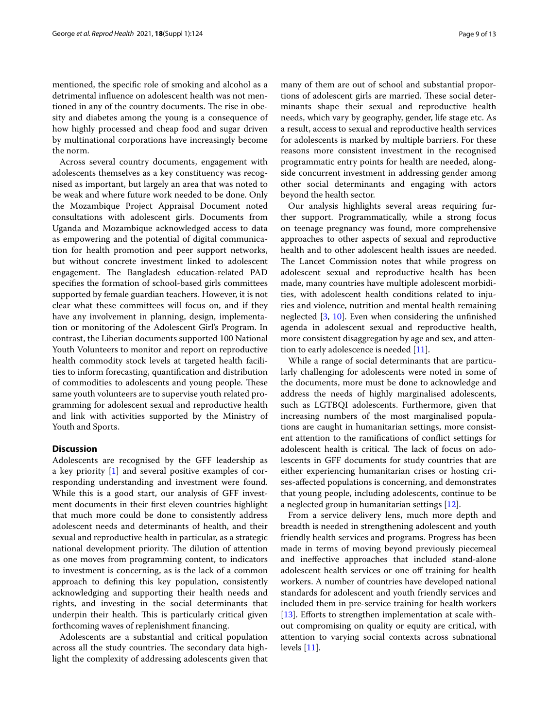mentioned, the specifc role of smoking and alcohol as a detrimental infuence on adolescent health was not mentioned in any of the country documents. The rise in obesity and diabetes among the young is a consequence of how highly processed and cheap food and sugar driven by multinational corporations have increasingly become the norm.

Across several country documents, engagement with adolescents themselves as a key constituency was recognised as important, but largely an area that was noted to be weak and where future work needed to be done. Only the Mozambique Project Appraisal Document noted consultations with adolescent girls. Documents from Uganda and Mozambique acknowledged access to data as empowering and the potential of digital communication for health promotion and peer support networks, but without concrete investment linked to adolescent engagement. The Bangladesh education-related PAD specifes the formation of school-based girls committees supported by female guardian teachers. However, it is not clear what these committees will focus on, and if they have any involvement in planning, design, implementation or monitoring of the Adolescent Girl's Program. In contrast, the Liberian documents supported 100 National Youth Volunteers to monitor and report on reproductive health commodity stock levels at targeted health facilities to inform forecasting, quantifcation and distribution of commodities to adolescents and young people. These same youth volunteers are to supervise youth related programming for adolescent sexual and reproductive health and link with activities supported by the Ministry of Youth and Sports.

## **Discussion**

Adolescents are recognised by the GFF leadership as a key priority [\[1\]](#page-11-0) and several positive examples of corresponding understanding and investment were found. While this is a good start, our analysis of GFF investment documents in their frst eleven countries highlight that much more could be done to consistently address adolescent needs and determinants of health, and their sexual and reproductive health in particular, as a strategic national development priority. The dilution of attention as one moves from programming content, to indicators to investment is concerning, as is the lack of a common approach to defning this key population, consistently acknowledging and supporting their health needs and rights, and investing in the social determinants that underpin their health. This is particularly critical given forthcoming waves of replenishment fnancing.

Adolescents are a substantial and critical population across all the study countries. The secondary data highlight the complexity of addressing adolescents given that many of them are out of school and substantial proportions of adolescent girls are married. These social determinants shape their sexual and reproductive health needs, which vary by geography, gender, life stage etc. As a result, access to sexual and reproductive health services for adolescents is marked by multiple barriers. For these reasons more consistent investment in the recognised programmatic entry points for health are needed, alongside concurrent investment in addressing gender among other social determinants and engaging with actors beyond the health sector.

Our analysis highlights several areas requiring further support. Programmatically, while a strong focus on teenage pregnancy was found, more comprehensive approaches to other aspects of sexual and reproductive health and to other adolescent health issues are needed. The Lancet Commission notes that while progress on adolescent sexual and reproductive health has been made, many countries have multiple adolescent morbidities, with adolescent health conditions related to injuries and violence, nutrition and mental health remaining neglected [[3,](#page-11-2) [10\]](#page-11-10). Even when considering the unfnished agenda in adolescent sexual and reproductive health, more consistent disaggregation by age and sex, and attention to early adolescence is needed [\[11](#page-11-11)].

While a range of social determinants that are particularly challenging for adolescents were noted in some of the documents, more must be done to acknowledge and address the needs of highly marginalised adolescents, such as LGTBQI adolescents. Furthermore, given that increasing numbers of the most marginalised populations are caught in humanitarian settings, more consistent attention to the ramifcations of confict settings for adolescent health is critical. The lack of focus on adolescents in GFF documents for study countries that are either experiencing humanitarian crises or hosting crises-afected populations is concerning, and demonstrates that young people, including adolescents, continue to be a neglected group in humanitarian settings [\[12\]](#page-12-0).

From a service delivery lens, much more depth and breadth is needed in strengthening adolescent and youth friendly health services and programs. Progress has been made in terms of moving beyond previously piecemeal and inefective approaches that included stand-alone adolescent health services or one off training for health workers. A number of countries have developed national standards for adolescent and youth friendly services and included them in pre-service training for health workers [[13\]](#page-12-1). Efforts to strengthen implementation at scale without compromising on quality or equity are critical, with attention to varying social contexts across subnational levels [[11\]](#page-11-11).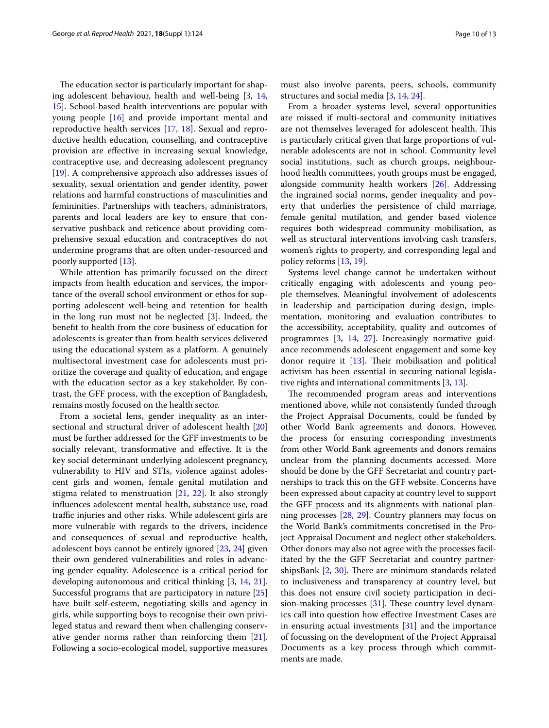The education sector is particularly important for shaping adolescent behaviour, health and well-being [\[3](#page-11-2), [14](#page-12-2), [15\]](#page-12-3). School-based health interventions are popular with young people [\[16\]](#page-12-4) and provide important mental and reproductive health services [\[17,](#page-12-5) [18\]](#page-12-6). Sexual and reproductive health education, counselling, and contraceptive provision are efective in increasing sexual knowledge, contraceptive use, and decreasing adolescent pregnancy [[19\]](#page-12-7). A comprehensive approach also addresses issues of sexuality, sexual orientation and gender identity, power relations and harmful constructions of masculinities and femininities. Partnerships with teachers, administrators, parents and local leaders are key to ensure that conservative pushback and reticence about providing comprehensive sexual education and contraceptives do not undermine programs that are often under-resourced and poorly supported [[13\]](#page-12-1).

While attention has primarily focussed on the direct impacts from health education and services, the importance of the overall school environment or ethos for supporting adolescent well-being and retention for health in the long run must not be neglected [[3](#page-11-2)]. Indeed, the beneft to health from the core business of education for adolescents is greater than from health services delivered using the educational system as a platform. A genuinely multisectoral investment case for adolescents must prioritize the coverage and quality of education, and engage with the education sector as a key stakeholder. By contrast, the GFF process, with the exception of Bangladesh, remains mostly focused on the health sector.

From a societal lens, gender inequality as an intersectional and structural driver of adolescent health [[20](#page-12-8)] must be further addressed for the GFF investments to be socially relevant, transformative and efective. It is the key social determinant underlying adolescent pregnancy, vulnerability to HIV and STIs, violence against adolescent girls and women, female genital mutilation and stigma related to menstruation [\[21](#page-12-9), [22\]](#page-12-10). It also strongly infuences adolescent mental health, substance use, road traffic injuries and other risks. While adolescent girls are more vulnerable with regards to the drivers, incidence and consequences of sexual and reproductive health, adolescent boys cannot be entirely ignored [\[23](#page-12-11), [24\]](#page-12-12) given their own gendered vulnerabilities and roles in advancing gender equality. Adolescence is a critical period for developing autonomous and critical thinking [[3,](#page-11-2) [14,](#page-12-2) [21](#page-12-9)]. Successful programs that are participatory in nature [[25](#page-12-13)] have built self-esteem, negotiating skills and agency in girls, while supporting boys to recognise their own privileged status and reward them when challenging conservative gender norms rather than reinforcing them [\[21](#page-12-9)]. Following a socio-ecological model, supportive measures

must also involve parents, peers, schools, community structures and social media [\[3](#page-11-2), [14](#page-12-2), [24\]](#page-12-12).

From a broader systems level, several opportunities are missed if multi-sectoral and community initiatives are not themselves leveraged for adolescent health. This is particularly critical given that large proportions of vulnerable adolescents are not in school. Community level social institutions, such as church groups, neighbourhood health committees, youth groups must be engaged, alongside community health workers [\[26](#page-12-14)]. Addressing the ingrained social norms, gender inequality and poverty that underlies the persistence of child marriage, female genital mutilation, and gender based violence requires both widespread community mobilisation, as well as structural interventions involving cash transfers, women's rights to property, and corresponding legal and policy reforms [\[13](#page-12-1), [19\]](#page-12-7).

Systems level change cannot be undertaken without critically engaging with adolescents and young people themselves. Meaningful involvement of adolescents in leadership and participation during design, implementation, monitoring and evaluation contributes to the accessibility, acceptability, quality and outcomes of programmes [\[3,](#page-11-2) [14](#page-12-2), [27](#page-12-15)]. Increasingly normative guidance recommends adolescent engagement and some key donor require it  $[13]$  $[13]$ . Their mobilisation and political activism has been essential in securing national legislative rights and international commitments [\[3](#page-11-2), [13](#page-12-1)].

The recommended program areas and interventions mentioned above, while not consistently funded through the Project Appraisal Documents, could be funded by other World Bank agreements and donors. However, the process for ensuring corresponding investments from other World Bank agreements and donors remains unclear from the planning documents accessed. More should be done by the GFF Secretariat and country partnerships to track this on the GFF website. Concerns have been expressed about capacity at country level to support the GFF process and its alignments with national planning processes [[28,](#page-12-16) [29](#page-12-17)]. Country planners may focus on the World Bank's commitments concretised in the Project Appraisal Document and neglect other stakeholders. Other donors may also not agree with the processes facilitated by the the GFF Secretariat and country partnershipsBank  $[2, 30]$  $[2, 30]$  $[2, 30]$  $[2, 30]$ . There are minimum standards related to inclusiveness and transparency at country level, but this does not ensure civil society participation in decision-making processes  $[31]$  $[31]$ . These country level dynamics call into question how efective Investment Cases are in ensuring actual investments  $[31]$  $[31]$  $[31]$  and the importance of focussing on the development of the Project Appraisal Documents as a key process through which commitments are made.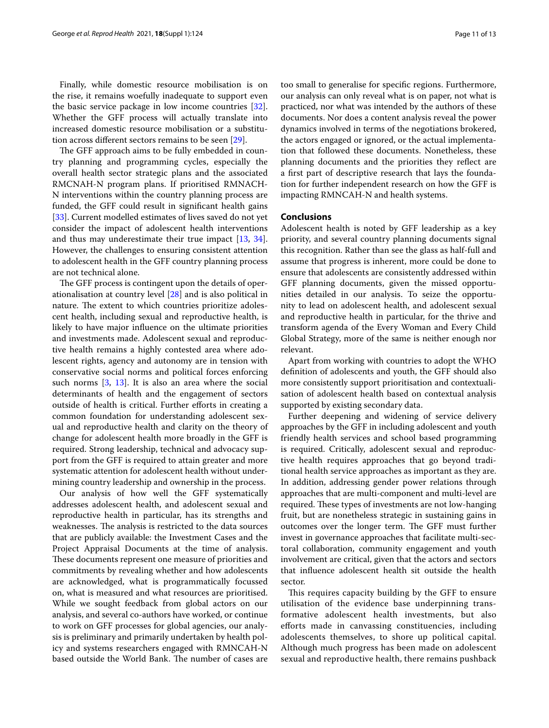Finally, while domestic resource mobilisation is on the rise, it remains woefully inadequate to support even the basic service package in low income countries [\[32](#page-12-20)]. Whether the GFF process will actually translate into increased domestic resource mobilisation or a substitution across diferent sectors remains to be seen [\[29\]](#page-12-17).

The GFF approach aims to be fully embedded in country planning and programming cycles, especially the overall health sector strategic plans and the associated RMCNAH-N program plans. If prioritised RMNACH-N interventions within the country planning process are funded, the GFF could result in signifcant health gains [[33\]](#page-12-21). Current modelled estimates of lives saved do not yet consider the impact of adolescent health interventions and thus may underestimate their true impact [\[13](#page-12-1), [34](#page-12-22)]. However, the challenges to ensuring consistent attention to adolescent health in the GFF country planning process are not technical alone.

The GFF process is contingent upon the details of operationalisation at country level [[28](#page-12-16)] and is also political in nature. The extent to which countries prioritize adolescent health, including sexual and reproductive health, is likely to have major infuence on the ultimate priorities and investments made. Adolescent sexual and reproductive health remains a highly contested area where adolescent rights, agency and autonomy are in tension with conservative social norms and political forces enforcing such norms [[3](#page-11-2), [13\]](#page-12-1). It is also an area where the social determinants of health and the engagement of sectors outside of health is critical. Further efforts in creating a common foundation for understanding adolescent sexual and reproductive health and clarity on the theory of change for adolescent health more broadly in the GFF is required. Strong leadership, technical and advocacy support from the GFF is required to attain greater and more systematic attention for adolescent health without undermining country leadership and ownership in the process.

Our analysis of how well the GFF systematically addresses adolescent health, and adolescent sexual and reproductive health in particular, has its strengths and weaknesses. The analysis is restricted to the data sources that are publicly available: the Investment Cases and the Project Appraisal Documents at the time of analysis. These documents represent one measure of priorities and commitments by revealing whether and how adolescents are acknowledged, what is programmatically focussed on, what is measured and what resources are prioritised. While we sought feedback from global actors on our analysis, and several co-authors have worked, or continue to work on GFF processes for global agencies, our analysis is preliminary and primarily undertaken by health policy and systems researchers engaged with RMNCAH-N based outside the World Bank. The number of cases are too small to generalise for specifc regions. Furthermore, our analysis can only reveal what is on paper, not what is practiced, nor what was intended by the authors of these documents. Nor does a content analysis reveal the power dynamics involved in terms of the negotiations brokered, the actors engaged or ignored, or the actual implementation that followed these documents. Nonetheless, these planning documents and the priorities they refect are a frst part of descriptive research that lays the foundation for further independent research on how the GFF is impacting RMNCAH-N and health systems.

## **Conclusions**

Adolescent health is noted by GFF leadership as a key priority, and several country planning documents signal this recognition. Rather than see the glass as half-full and assume that progress is inherent, more could be done to ensure that adolescents are consistently addressed within GFF planning documents, given the missed opportunities detailed in our analysis. To seize the opportunity to lead on adolescent health, and adolescent sexual and reproductive health in particular, for the thrive and transform agenda of the Every Woman and Every Child Global Strategy, more of the same is neither enough nor relevant.

Apart from working with countries to adopt the WHO defnition of adolescents and youth, the GFF should also more consistently support prioritisation and contextualisation of adolescent health based on contextual analysis supported by existing secondary data.

Further deepening and widening of service delivery approaches by the GFF in including adolescent and youth friendly health services and school based programming is required. Critically, adolescent sexual and reproductive health requires approaches that go beyond traditional health service approaches as important as they are. In addition, addressing gender power relations through approaches that are multi-component and multi-level are required. These types of investments are not low-hanging fruit, but are nonetheless strategic in sustaining gains in outcomes over the longer term. The GFF must further invest in governance approaches that facilitate multi-sectoral collaboration, community engagement and youth involvement are critical, given that the actors and sectors that infuence adolescent health sit outside the health sector.

This requires capacity building by the GFF to ensure utilisation of the evidence base underpinning transformative adolescent health investments, but also eforts made in canvassing constituencies, including adolescents themselves, to shore up political capital. Although much progress has been made on adolescent sexual and reproductive health, there remains pushback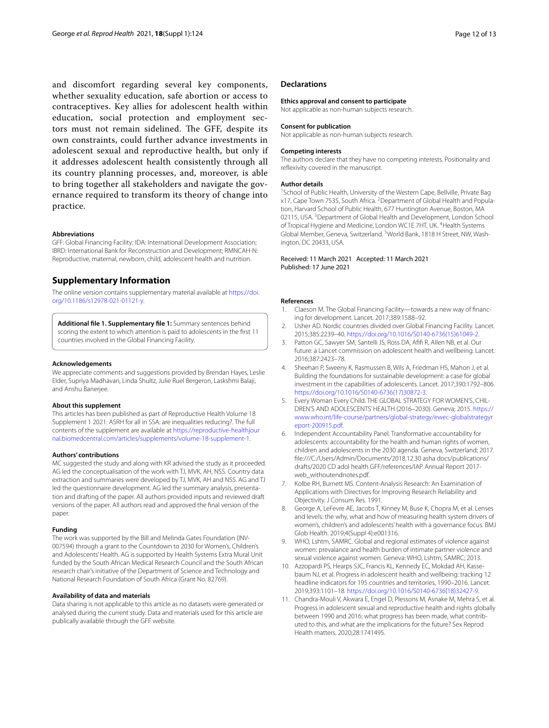and discomfort regarding several key components, whether sexuality education, safe abortion or access to contraceptives. Key allies for adolescent health within education, social protection and employment sectors must not remain sidelined. The GFF, despite its own constraints, could further advance investments in adolescent sexual and reproductive health, but only if it addresses adolescent health consistently through all its country planning processes, and, moreover, is able to bring together all stakeholders and navigate the governance required to transform its theory of change into practice.

#### **Abbreviations**

GFF: Global Financing Facility; IDA: International Development Association; IBRD: International Bank for Reconstruction and Development; RMNCAH-N: Reproductive, maternal, newborn, child, adolescent health and nutrition.

## **Supplementary Information**

The online version contains supplementary material available at [https://doi.](https://doi.org/10.1186/s12978-021-01121-y) [org/10.1186/s12978-021-01121-y.](https://doi.org/10.1186/s12978-021-01121-y)

<span id="page-11-7"></span>**Additional fle 1. Supplementary fle 1:** Summary sentences behind scoring the extent to which attention is paid to adolescents in the frst 11 countries involved in the Global Financing Facility.

#### **Acknowledgements**

We appreciate comments and suggestions provided by Brendan Hayes, Leslie Elder, Supriya Madhavan, Linda Shultz, Julie Ruel Bergeron, Laskshmi Balaji, and Anshu Banerjee.

#### **About this supplement**

This articles has been published as part of Reproductive Health Volume 18 Supplement 1 2021: ASRH for all in SSA: are inequalities reducing?. The full contents of the supplement are available at [https://reproductive-healthjour](https://reproductive-healthjournal.biomedcentral.com/articles/supplements/volume-18-supplement-1) [nal.biomedcentral.com/articles/supplements/volume-18-supplement-1.](https://reproductive-healthjournal.biomedcentral.com/articles/supplements/volume-18-supplement-1)

## **Authors' contributions**

MC suggested the study and along with KR advised the study as it proceeded. AG led the conceptualisation of the work with TJ, MVK, AH, NSS. Country data extraction and summaries were developed by TJ, MVK, AH and NSS. AG and TJ led the questionnaire development. AG led the summary analysis, presentation and drafting of the paper. All authors provided inputs and reviewed draft versions of the paper. All authors read and approved the fnal version of the paper.

## **Funding**

The work was supported by the Bill and Melinda Gates Foundation (INV-007594) through a grant to the Countdown to 2030 for Women's, Children's and Adolescents' Health. AG is supported by Health Systems Extra Mural Unit funded by the South African Medical Research Council and the South African research chair's initiative of the Department of Science and Technology and National Research Foundation of South Africa (Grant No. 82769).

## **Availability of data and materials**

Data sharing is not applicable to this article as no datasets were generated or analysed during the current study. Data and materials used for this article are publically available through the GFF website.

#### **Declarations**

#### **Ethics approval and consent to participate**

Not applicable as non-human subjects research.

#### **Consent for publication**

Not applicable as non-human subjects research.

#### **Competing interests**

The authors declare that they have no competing interests. Positionality and refexivity covered in the manuscript.

## **Author details**

<sup>1</sup> School of Public Health, University of the Western Cape, Bellville, Private Bag x17, Cape Town 7535, South Africa. <sup>2</sup> Department of Global Health and Population, Harvard School of Public Health, 677 Huntington Avenue, Boston, MA 02115, USA.<sup>3</sup> Department of Global Health and Development, London School of Tropical Hygiene and Medicine, London WC1E 7HT, UK. <sup>4</sup>Health Systems Global Member, Geneva, Switzerland. <sup>5</sup>World Bank, 1818 H Street, NW, Washington, DC 20433, USA.

#### Received: 11 March 2021 Accepted: 11 March 2021 Published: 17 June 2021

#### **References**

- <span id="page-11-0"></span>Claeson M. The Global Financing Facility—towards a new way of financing for development. Lancet. 2017;389:1588–92.
- <span id="page-11-1"></span>2. Usher AD. Nordic countries divided over Global Financing Facility. Lancet. 2015;385:2239–40. [https://doi.org/10.1016/S0140-6736\(15\)61049-2.](https://doi.org/10.1016/S0140-6736(15)61049-2)
- <span id="page-11-2"></span>3. Patton GC, Sawyer SM, Santelli JS, Ross DA, Afifi R, Allen NB, et al. Our future: a Lancet commission on adolescent health and wellbeing. Lancet. 2016;387:2423–78.
- <span id="page-11-3"></span>Sheehan P, Sweeny K, Rasmussen B, Wils A, Friedman HS, Mahon J, et al. Building the foundations for sustainable development: a case for global investment in the capabilities of adolescents. Lancet. 2017;390:1792–806. [https://doi.org/10.1016/S0140-6736\(17\)30872-3](https://doi.org/10.1016/S0140-6736(17)30872-3).
- <span id="page-11-4"></span>5. Every Woman Every Child. THE GLOBAL STRATEGY FOR WOMEN'S, CHIL-DREN'S AND ADOLESCENTS' HEALTH (2016–2030). Geneva; 2015. [https://](https://www.who.int/life-course/partners/global-strategy/ewec-globalstrategyreport-200915.pdf) [www.who.int/life-course/partners/global-strategy/ewec-globalstrategyr](https://www.who.int/life-course/partners/global-strategy/ewec-globalstrategyreport-200915.pdf) [eport-200915.pdf.](https://www.who.int/life-course/partners/global-strategy/ewec-globalstrategyreport-200915.pdf)
- <span id="page-11-5"></span>6. Independent Accountability Panel. Transformative accountability for adolescents: accountability for the health and human rights of women. children and adolescents in the 2030 agenda. Geneva, Switzerland; 2017. fle:///C:/Users/Admin/Documents/2018.12.30 asha docs/publications/ drafts/2020 CD adol health GFF/references/IAP Annual Report 2017 web\_withoutendnotes.pdf.
- <span id="page-11-6"></span>7. Kolbe RH, Burnett MS. Content-Analysis Research: An Examination of Applications with Directives for Improving Research Reliability and Objectivity. J Consum Res. 1991.
- <span id="page-11-8"></span>8. George A, LeFevre AE, Jacobs T, Kinney M, Buse K, Chopra M, et al. Lenses and levels: the why, what and how of measuring health system drivers of women's, children's and adolescents' health with a governance focus. BMJ Glob Health. 2019;4(Suppl 4):e001316.
- <span id="page-11-9"></span>9. WHO, Lshtm, SAMRC. Global and regional estimates of violence against women: prevalance and health burden of intimate partner violence and sexual violence against women. Geneva: WHO, Lshtm, SAMRC; 2013.
- <span id="page-11-10"></span>10. Azzopardi PS, Hearps SJC, Francis KL, Kennedy EC, Mokdad AH, Kassebaum NJ, et al. Progress in adolescent health and wellbeing: tracking 12 headline indicators for 195 countries and territories, 1990–2016. Lancet. 2019;393:1101–18. [https://doi.org/10.1016/S0140-6736\(18\)32427-9.](https://doi.org/10.1016/S0140-6736(18)32427-9)
- <span id="page-11-11"></span>11. Chandra-Mouli V, Akwara E, Engel D, Plessons M, Asnake M, Mehra S, et al. Progress in adolescent sexual and reproductive health and rights globally between 1990 and 2016: what progress has been made, what contributed to this, and what are the implications for the future? Sex Reprod Health matters. 2020;28:1741495.